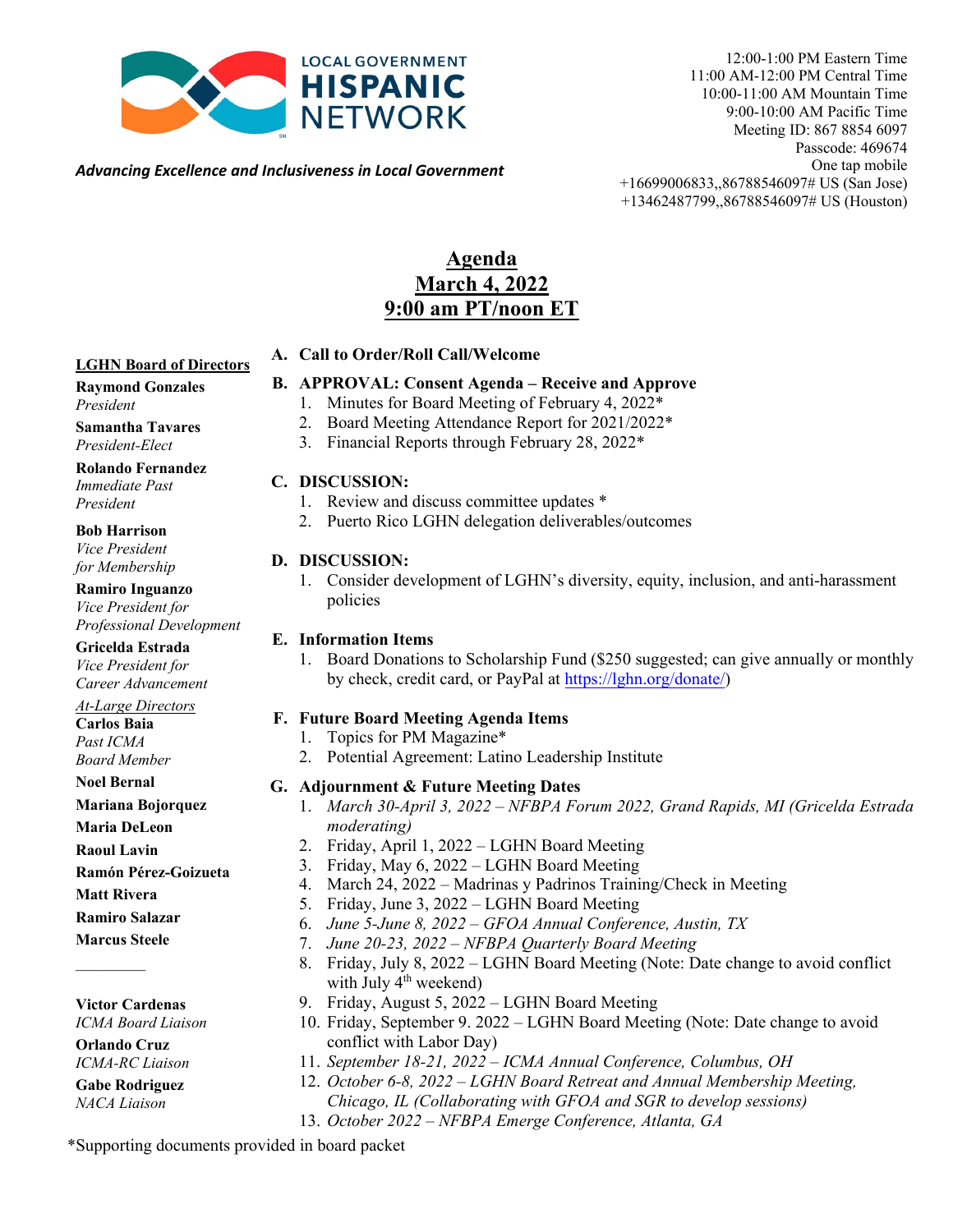

12:00-1:00 PM Eastern Time 11:00 AM-12:00 PM Central Time 10:00-11:00 AM Mountain Time 9:00-10:00 AM Pacific Time Meeting ID: 867 8854 6097 Passcode: 469674 One tap mobile +16699006833,,86788546097# US (San Jose) +13462487799,,86788546097# US (Houston)

*Advancing Excellence and Inclusiveness in Local Government*

### **Agenda March 4, 2022 9:00 am PT/noon ET**

### **LGHN Board of Directors**

#### **Raymond Gonzales** *President*

**Samantha Tavares** *President-Elect*

**Rolando Fernandez**  *Immediate Past President* 

**Bob Harrison**

*Vice President for Membership*

**Ramiro Inguanzo** *Vice President for Professional Development*

**Gricelda Estrada** *Vice President for Career Advancement*

*At-Large Directors* **Carlos Baia** *Past ICMA Board Member*

**Noel Bernal**

**Mariana Bojorquez**

**Maria DeLeon** 

**Raoul Lavin**

**Ramón Pérez-Goizueta**

**Matt Rivera**

**Ramiro Salazar**

**Marcus Steele**

 $\mathcal{L}$ 

**Victor Cardenas** *ICMA Board Liaison*

**Orlando Cruz** *ICMA-RC Liaison*

**Gabe Rodriguez** *NACA Liaison*

#### **A. Call to Order/Roll Call/Welcome**

#### **B. APPROVAL: Consent Agenda – Receive and Approve**

- 1. Minutes for Board Meeting of February 4, 2022\*
- 2. Board Meeting Attendance Report for 2021/2022\*
- 3. Financial Reports through February 28, 2022\*

#### **C. DISCUSSION:**

- 1. Review and discuss committee updates \*
- 2. Puerto Rico LGHN delegation deliverables/outcomes

#### **D. DISCUSSION:**

1. Consider development of LGHN's diversity, equity, inclusion, and anti-harassment policies

#### **E. Information Items**

1. Board Donations to Scholarship Fund (\$250 suggested; can give annually or monthly by check, credit card, or PayPal a[t https://lghn.org/donate/\)](https://lghn.org/donate/)

#### **F. Future Board Meeting Agenda Items**

- 1. Topics for PM Magazine\*
- 2. Potential Agreement: Latino Leadership Institute

#### **G. Adjournment & Future Meeting Dates**

- 1. *March 30-April 3, 2022 NFBPA Forum 2022, Grand Rapids, MI (Gricelda Estrada moderating)*
- 2. Friday, April 1, 2022 LGHN Board Meeting
- 3. Friday, May 6, 2022 LGHN Board Meeting
- 4. March 24, 2022 Madrinas y Padrinos Training/Check in Meeting
- 5. Friday, June 3, 2022 LGHN Board Meeting
- 6. *June 5-June 8, 2022 GFOA Annual Conference, Austin, TX*
	- 7. *June 20-23, 2022 NFBPA Quarterly Board Meeting*
	- 8. Friday, July 8, 2022 LGHN Board Meeting (Note: Date change to avoid conflict with July  $4<sup>th</sup>$  weekend)
	- 9. Friday, August 5, 2022 LGHN Board Meeting
	- 10. Friday, September 9. 2022 LGHN Board Meeting (Note: Date change to avoid conflict with Labor Day)
	- 11. *September 18-21, 2022 ICMA Annual Conference, Columbus, OH*
	- 12. *October 6-8, 2022 LGHN Board Retreat and Annual Membership Meeting,*
		- *Chicago, IL (Collaborating with GFOA and SGR to develop sessions)*
	- 13. *October 2022 NFBPA Emerge Conference, Atlanta, GA*

\*Supporting documents provided in board packet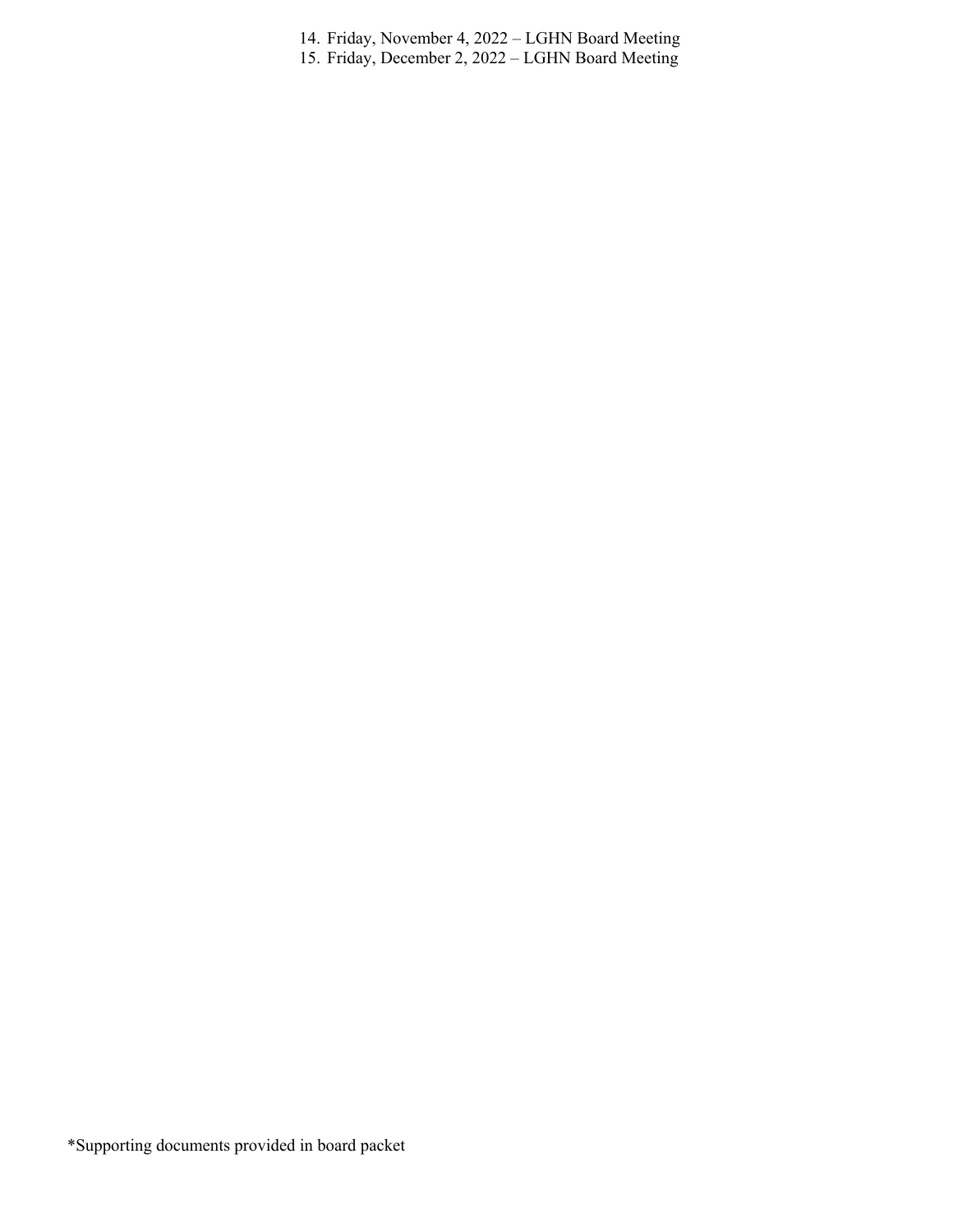- 14. Friday, November 4, 2022 LGHN Board Meeting
- 15. Friday, December 2, 2022 LGHN Board Meeting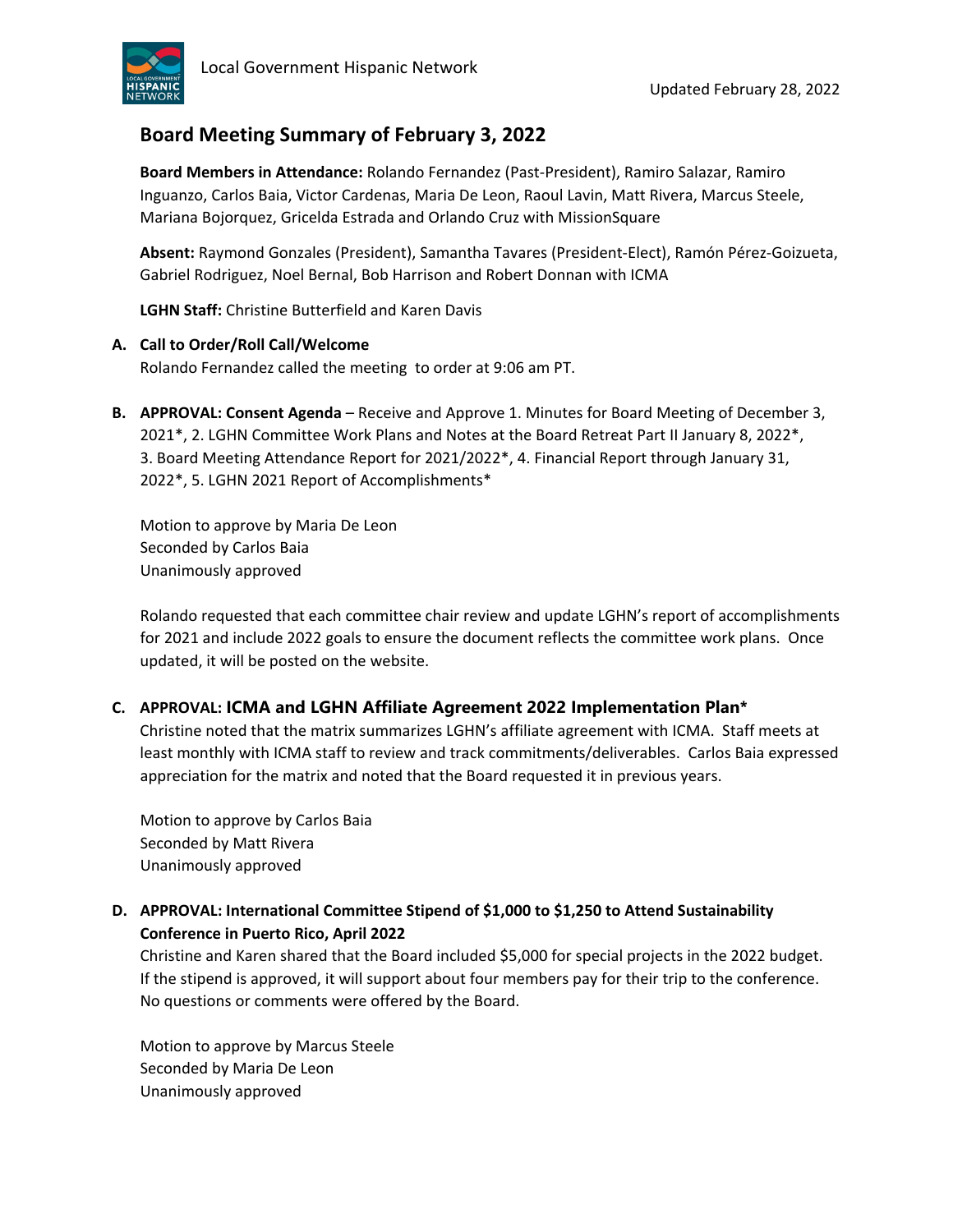

### **Board Meeting Summary of February 3, 2022**

**Board Members in Attendance:** Rolando Fernandez (Past-President), Ramiro Salazar, Ramiro Inguanzo, Carlos Baia, Victor Cardenas, Maria De Leon, Raoul Lavin, Matt Rivera, Marcus Steele, Mariana Bojorquez, Gricelda Estrada and Orlando Cruz with MissionSquare

**Absent:** Raymond Gonzales (President), Samantha Tavares (President-Elect), Ramón Pérez-Goizueta, Gabriel Rodriguez, Noel Bernal, Bob Harrison and Robert Donnan with ICMA

**LGHN Staff:** Christine Butterfield and Karen Davis

#### **A. Call to Order/Roll Call/Welcome**

Rolando Fernandez called the meeting to order at 9:06 am PT.

**B. APPROVAL: Consent Agenda** – Receive and Approve 1. Minutes for Board Meeting of December 3, 2021\*, 2. LGHN Committee Work Plans and Notes at the Board Retreat Part II January 8, 2022\*, 3. Board Meeting Attendance Report for 2021/2022\*, 4. Financial Report through January 31, 2022\*, 5. LGHN 2021 Report of Accomplishments\*

Motion to approve by Maria De Leon Seconded by Carlos Baia Unanimously approved

Rolando requested that each committee chair review and update LGHN's report of accomplishments for 2021 and include 2022 goals to ensure the document reflects the committee work plans. Once updated, it will be posted on the website.

#### **C. APPROVAL: ICMA and LGHN Affiliate Agreement 2022 Implementation Plan\***

Christine noted that the matrix summarizes LGHN's affiliate agreement with ICMA. Staff meets at least monthly with ICMA staff to review and track commitments/deliverables. Carlos Baia expressed appreciation for the matrix and noted that the Board requested it in previous years.

Motion to approve by Carlos Baia Seconded by Matt Rivera Unanimously approved

### **D. APPROVAL: International Committee Stipend of \$1,000 to \$1,250 to Attend Sustainability Conference in Puerto Rico, April 2022**

Christine and Karen shared that the Board included \$5,000 for special projects in the 2022 budget. If the stipend is approved, it will support about four members pay for their trip to the conference. No questions or comments were offered by the Board.

Motion to approve by Marcus Steele Seconded by Maria De Leon Unanimously approved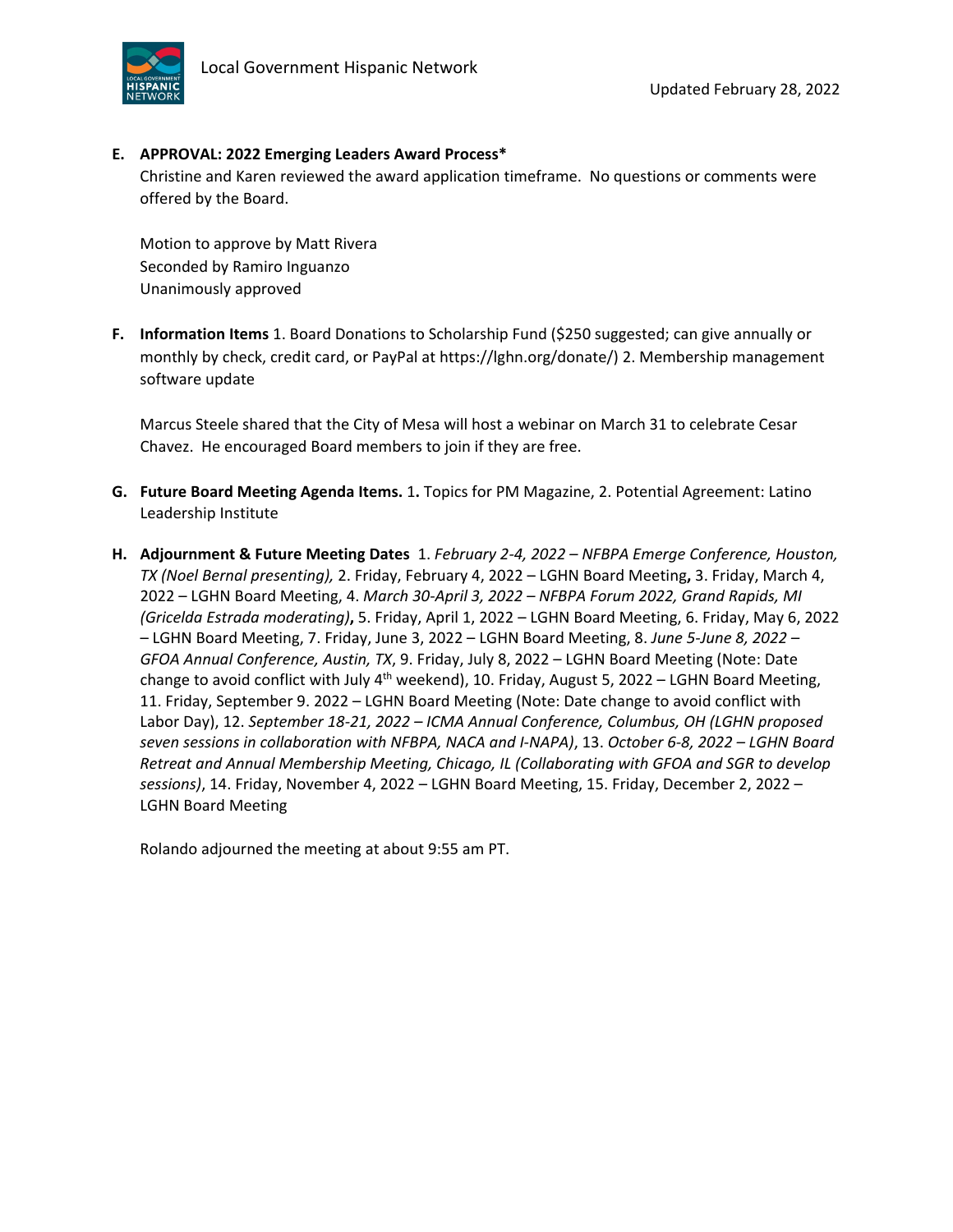

#### **E. APPROVAL: 2022 Emerging Leaders Award Process\***

Christine and Karen reviewed the award application timeframe. No questions or comments were offered by the Board.

Motion to approve by Matt Rivera Seconded by Ramiro Inguanzo Unanimously approved

**F. Information Items** 1. Board Donations to Scholarship Fund (\$250 suggested; can give annually or monthly by check, credit card, or PayPal at https://lghn.org/donate/) 2. Membership management software update

Marcus Steele shared that the City of Mesa will host a webinar on March 31 to celebrate Cesar Chavez. He encouraged Board members to join if they are free.

- **G. Future Board Meeting Agenda Items.** 1**.** Topics for PM Magazine, 2. Potential Agreement: Latino Leadership Institute
- **H. Adjournment & Future Meeting Dates** 1. *February 2-4, 2022 – NFBPA Emerge Conference, Houston, TX (Noel Bernal presenting),* 2. Friday, February 4, 2022 – LGHN Board Meeting**,** 3. Friday, March 4, 2022 – LGHN Board Meeting, 4. *March 30-April 3, 2022 – NFBPA Forum 2022, Grand Rapids, MI (Gricelda Estrada moderating)***,** 5. Friday, April 1, 2022 – LGHN Board Meeting, 6. Friday, May 6, 2022 – LGHN Board Meeting, 7. Friday, June 3, 2022 – LGHN Board Meeting, 8. *June 5-June 8, 2022 – GFOA Annual Conference, Austin, TX*, 9. Friday, July 8, 2022 – LGHN Board Meeting (Note: Date change to avoid conflict with July 4<sup>th</sup> weekend), 10. Friday, August 5, 2022 – LGHN Board Meeting, 11. Friday, September 9. 2022 – LGHN Board Meeting (Note: Date change to avoid conflict with Labor Day), 12. *September 18-21, 2022 – ICMA Annual Conference, Columbus, OH (LGHN proposed seven sessions in collaboration with NFBPA, NACA and I-NAPA)*, 13. *October 6-8, 2022 – LGHN Board Retreat and Annual Membership Meeting, Chicago, IL (Collaborating with GFOA and SGR to develop sessions)*, 14. Friday, November 4, 2022 – LGHN Board Meeting, 15. Friday, December 2, 2022 – LGHN Board Meeting

Rolando adjourned the meeting at about 9:55 am PT.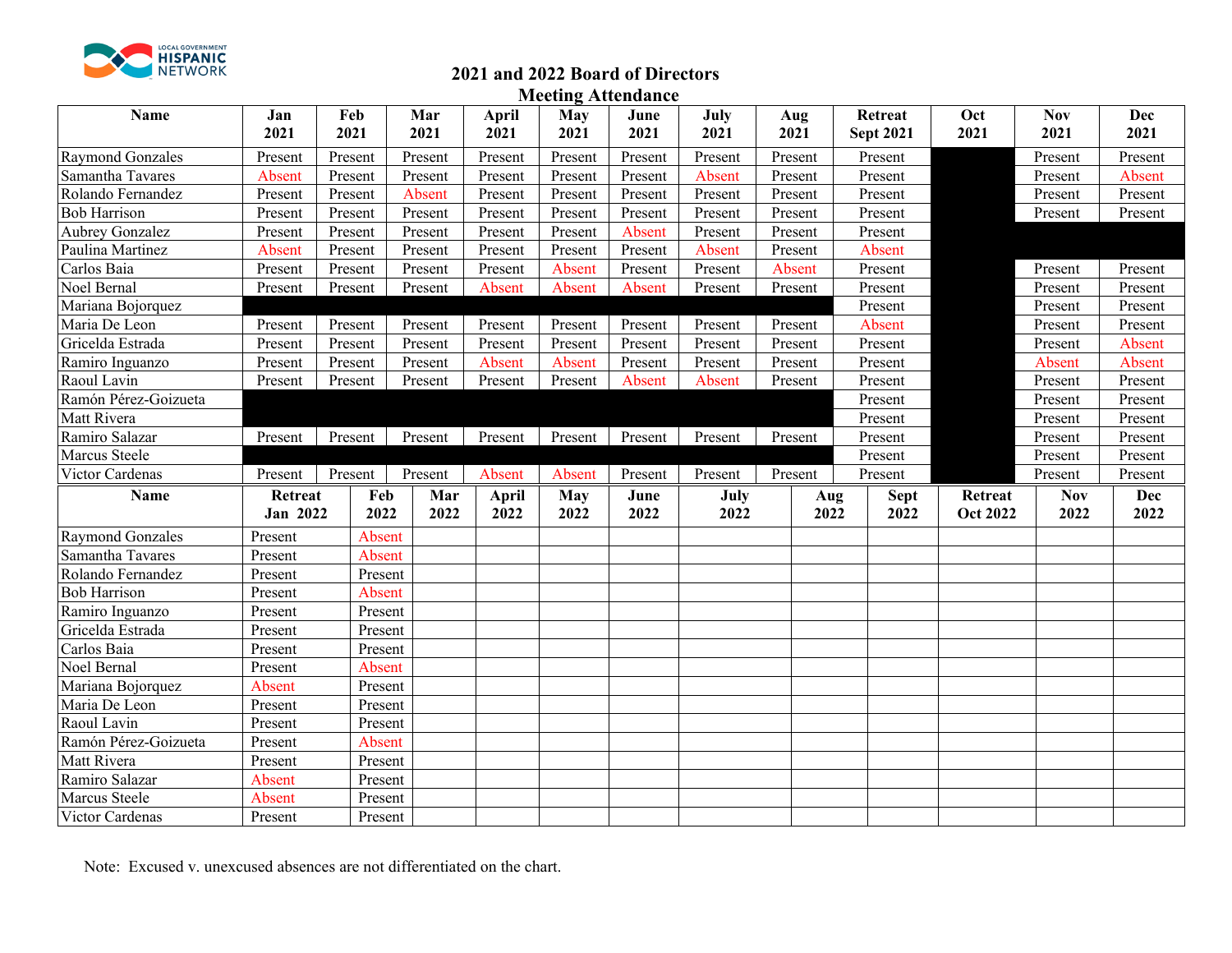

### **2021 and 2022 Board of Directors**

**Meeting Attendance**

| Name                   | Jan<br>2021         | Feb<br>2021 |             | Mar<br>2021 | April<br>2021 | <b>May</b><br>2021 | June<br>2021 | July<br>2021 | Aug<br>2021 | Retreat<br><b>Sept 2021</b>        | Oct<br>2021                | <b>Nov</b><br>2021 | <b>Dec</b><br>2021 |
|------------------------|---------------------|-------------|-------------|-------------|---------------|--------------------|--------------|--------------|-------------|------------------------------------|----------------------------|--------------------|--------------------|
| Raymond Gonzales       | Present             | Present     |             | Present     | Present       | Present            | Present      | Present      | Present     | Present                            |                            | Present            | Present            |
| Samantha Tavares       | Absent              | Present     |             | Present     | Present       | Present            | Present      | Absent       | Present     | Present                            |                            | Present            | Absent             |
| Rolando Fernandez      | Present             | Present     |             | Absent      | Present       | Present            | Present      | Present      | Present     | Present                            |                            | Present            | Present            |
| <b>Bob Harrison</b>    | Present             | Present     |             | Present     | Present       | Present            | Present      | Present      | Present     | Present                            |                            | Present            | Present            |
| <b>Aubrey Gonzalez</b> | Present             | Present     |             | Present     | Present       | Present            | Absent       | Present      | Present     | Present                            |                            |                    |                    |
| Paulina Martinez       | Absent              | Present     |             | Present     | Present       | Present            | Present      | Absent       | Present     | Absent                             |                            |                    |                    |
| Carlos Baia            | Present             | Present     |             | Present     | Present       | Absent             | Present      | Present      | Absent      | Present                            |                            | Present            | Present            |
| Noel Bernal            | Present             | Present     |             | Present     | Absent        | Absent             | Absent       | Present      | Present     | Present                            |                            | Present            | Present            |
| Mariana Bojorquez      |                     |             |             |             |               |                    |              |              |             | Present                            |                            | Present            | Present            |
| Maria De Leon          | Present             | Present     |             | Present     | Present       | Present            | Present      | Present      | Present     | Absent                             |                            | Present            | Present            |
| Gricelda Estrada       | Present             | Present     |             | Present     | Present       | Present            | Present      | Present      | Present     | Present                            |                            | Present            | Absent             |
| Ramiro Inguanzo        | Present             | Present     |             | Present     | Absent        | Absent             | Present      | Present      | Present     | Present                            |                            | Absent             | Absent             |
| Raoul Lavin            | Present             | Present     |             | Present     | Present       | Present            | Absent       | Absent       | Present     | Present                            |                            | Present            | Present            |
| Ramón Pérez-Goizueta   |                     |             |             |             |               |                    |              |              |             | Present                            |                            | Present            | Present            |
| Matt Rivera            |                     |             |             |             |               |                    |              |              |             | Present                            |                            | Present            | Present            |
| Ramiro Salazar         | Present             | Present     |             | Present     | Present       | Present            | Present      | Present      | Present     | Present                            |                            | Present            | Present            |
| Marcus Steele          |                     |             |             |             |               |                    |              |              |             | Present                            |                            | Present            | Present            |
| Victor Cardenas        | Present             | Present     |             | Present     | Absent        | Absent             | Present      | Present      | Present     | Present                            |                            | Present            | Present            |
| <b>Name</b>            | Retreat<br>Jan 2022 |             | Feb<br>2022 | Mar<br>2022 | April<br>2022 | <b>May</b><br>2022 | June<br>2022 | July<br>2022 |             | <b>Sept</b><br>Aug<br>2022<br>2022 | Retreat<br><b>Oct 2022</b> | <b>Nov</b><br>2022 | Dec<br>2022        |
| Raymond Gonzales       | Present             |             | Absent      |             |               |                    |              |              |             |                                    |                            |                    |                    |
| Samantha Tavares       | Present             |             | Absent      |             |               |                    |              |              |             |                                    |                            |                    |                    |
| Rolando Fernandez      | Present             |             | Present     |             |               |                    |              |              |             |                                    |                            |                    |                    |
| <b>Bob Harrison</b>    | Present             |             | Absent      |             |               |                    |              |              |             |                                    |                            |                    |                    |
| Ramiro Inguanzo        | Present             |             | Present     |             |               |                    |              |              |             |                                    |                            |                    |                    |
| Gricelda Estrada       | Present             |             | Present     |             |               |                    |              |              |             |                                    |                            |                    |                    |
| Carlos Baia            | Present             |             | Present     |             |               |                    |              |              |             |                                    |                            |                    |                    |
| Noel Bernal            | Present             |             | Absent      |             |               |                    |              |              |             |                                    |                            |                    |                    |
| Mariana Bojorquez      | Absent              |             | Present     |             |               |                    |              |              |             |                                    |                            |                    |                    |
| Maria De Leon          | Present             |             | Present     |             |               |                    |              |              |             |                                    |                            |                    |                    |
| Raoul Lavin            | Present             |             | Present     |             |               |                    |              |              |             |                                    |                            |                    |                    |
| Ramón Pérez-Goizueta   | Present             |             | Absent      |             |               |                    |              |              |             |                                    |                            |                    |                    |
| Matt Rivera            | Present             |             | Present     |             |               |                    |              |              |             |                                    |                            |                    |                    |
| Ramiro Salazar         | Absent              |             | Present     |             |               |                    |              |              |             |                                    |                            |                    |                    |
| Marcus Steele          | Absent              |             | Present     |             |               |                    |              |              |             |                                    |                            |                    |                    |
| Victor Cardenas        | Present             |             | Present     |             |               |                    |              |              |             |                                    |                            |                    |                    |

Note: Excused v. unexcused absences are not differentiated on the chart.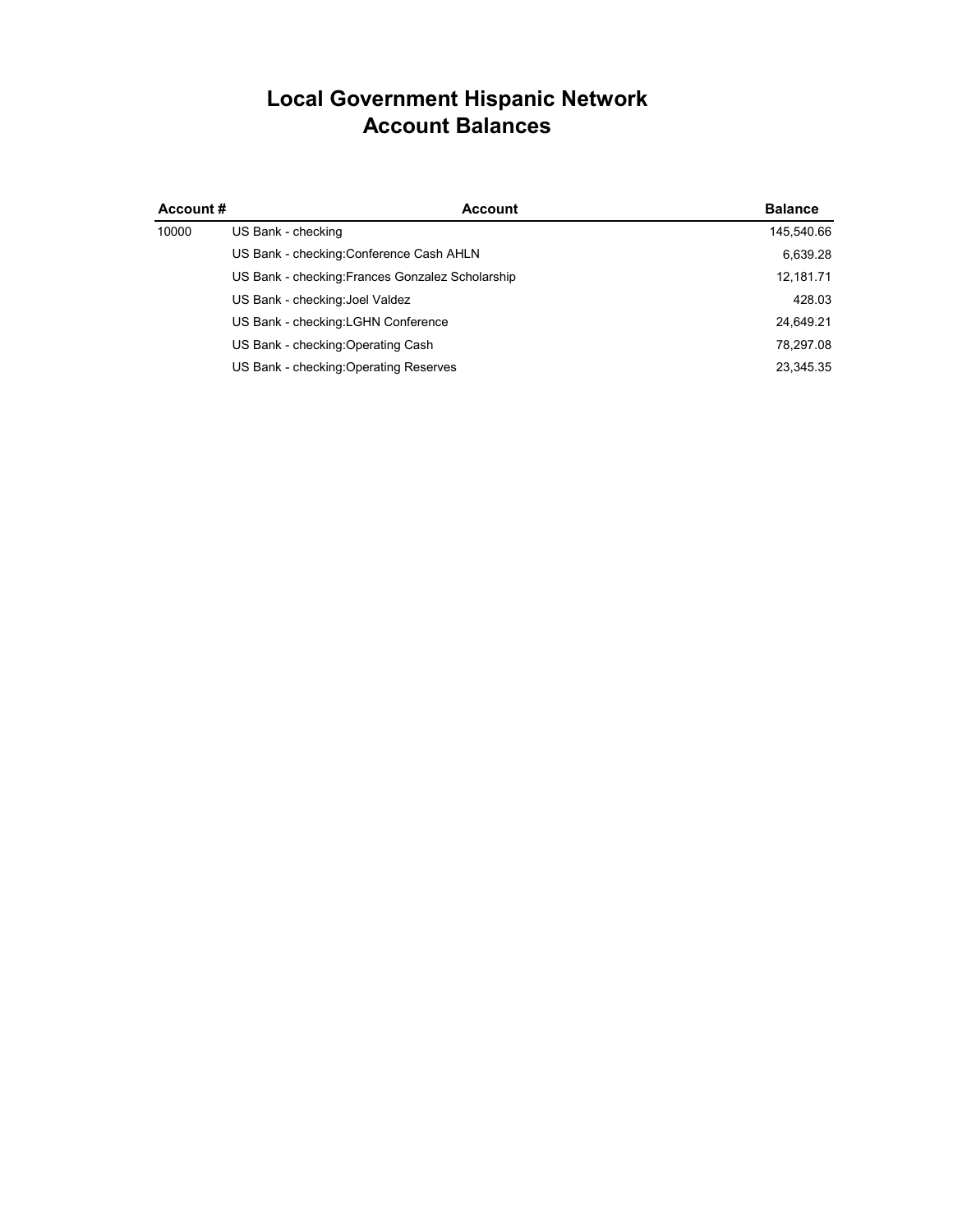### **Local Government Hispanic Network Account Balances**

| Account# | <b>Account</b>                                   | <b>Balance</b> |
|----------|--------------------------------------------------|----------------|
| 10000    | US Bank - checking                               | 145,540.66     |
|          | US Bank - checking: Conference Cash AHLN         | 6,639.28       |
|          | US Bank - checking: Frances Gonzalez Scholarship | 12,181.71      |
|          | US Bank - checking: Joel Valdez                  | 428.03         |
|          | US Bank - checking: LGHN Conference              | 24,649.21      |
|          | US Bank - checking: Operating Cash               | 78.297.08      |
|          | US Bank - checking: Operating Reserves           | 23,345.35      |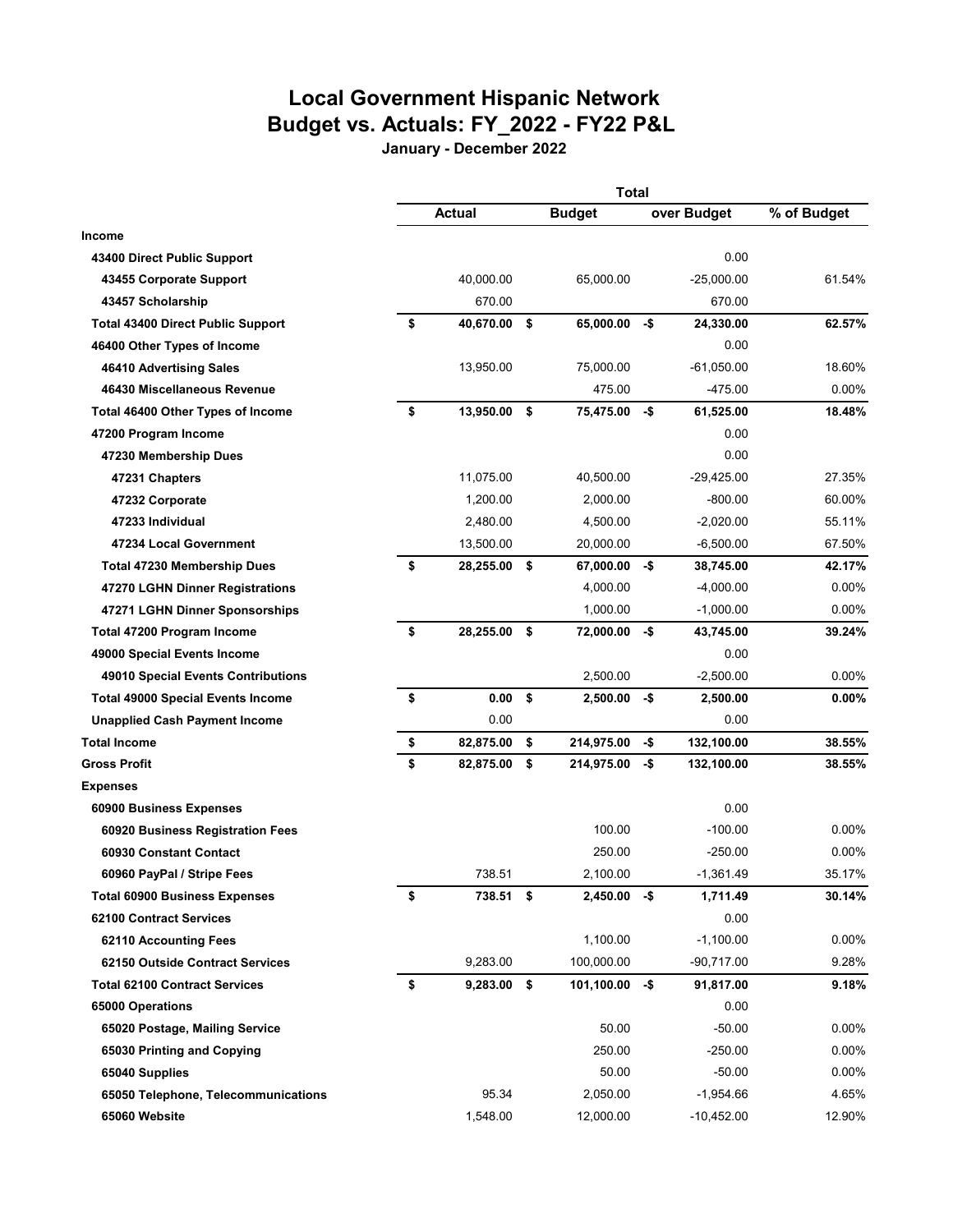# **Local Government Hispanic Network Budget vs. Actuals: FY\_2022 - FY22 P&L**

**January - December 2022**

|                                          | <b>Total</b> |               |    |                  |     |              |             |
|------------------------------------------|--------------|---------------|----|------------------|-----|--------------|-------------|
|                                          |              | Actual        |    | <b>Budget</b>    |     | over Budget  | % of Budget |
| <b>Income</b>                            |              |               |    |                  |     |              |             |
| 43400 Direct Public Support              |              |               |    |                  |     | 0.00         |             |
| 43455 Corporate Support                  |              | 40,000.00     |    | 65,000.00        |     | $-25,000.00$ | 61.54%      |
| 43457 Scholarship                        |              | 670.00        |    |                  |     | 670.00       |             |
| <b>Total 43400 Direct Public Support</b> | \$           | 40,670.00     | \$ | 65,000.00        | -\$ | 24,330.00    | 62.57%      |
| 46400 Other Types of Income              |              |               |    |                  |     | 0.00         |             |
| 46410 Advertising Sales                  |              | 13,950.00     |    | 75.000.00        |     | $-61,050.00$ | 18.60%      |
| 46430 Miscellaneous Revenue              |              |               |    | 475.00           |     | -475.00      | $0.00\%$    |
| Total 46400 Other Types of Income        | \$           | 13,950.00 \$  |    | 75,475.00        | -\$ | 61,525.00    | 18.48%      |
| 47200 Program Income                     |              |               |    |                  |     | 0.00         |             |
| 47230 Membership Dues                    |              |               |    |                  |     | 0.00         |             |
| 47231 Chapters                           |              | 11,075.00     |    | 40,500.00        |     | $-29,425.00$ | 27.35%      |
| 47232 Corporate                          |              | 1,200.00      |    | 2.000.00         |     | $-800.00$    | 60.00%      |
| 47233 Individual                         |              | 2,480.00      |    | 4,500.00         |     | $-2,020.00$  | 55.11%      |
| 47234 Local Government                   |              | 13,500.00     |    | 20,000.00        |     | $-6,500.00$  | 67.50%      |
| <b>Total 47230 Membership Dues</b>       | \$           | 28,255.00 \$  |    | 67,000.00 -\$    |     | 38,745.00    | 42.17%      |
| 47270 LGHN Dinner Registrations          |              |               |    | 4,000.00         |     | $-4,000.00$  | $0.00\%$    |
| 47271 LGHN Dinner Sponsorships           |              |               |    | 1,000.00         |     | $-1,000.00$  | $0.00\%$    |
| Total 47200 Program Income               | \$           | 28,255.00     | \$ | 72,000.00        | -\$ | 43,745.00    | 39.24%      |
| 49000 Special Events Income              |              |               |    |                  |     | 0.00         |             |
| 49010 Special Events Contributions       |              |               |    | 2,500.00         |     | $-2,500.00$  | $0.00\%$    |
| <b>Total 49000 Special Events Income</b> | \$           | 0.00          | \$ | 2,500.00         | -\$ | 2,500.00     | $0.00\%$    |
| <b>Unapplied Cash Payment Income</b>     |              | 0.00          |    |                  |     | 0.00         |             |
| <b>Total Income</b>                      | \$           | 82,875.00     | \$ | 214,975.00       | -\$ | 132,100.00   | 38.55%      |
| <b>Gross Profit</b>                      | \$           | 82,875.00     | \$ | 214,975.00       | -\$ | 132,100.00   | 38.55%      |
| <b>Expenses</b>                          |              |               |    |                  |     |              |             |
| 60900 Business Expenses                  |              |               |    |                  |     | 0.00         |             |
| 60920 Business Registration Fees         |              |               |    | 100.00           |     | $-100.00$    | $0.00\%$    |
| 60930 Constant Contact                   |              |               |    | 250.00           |     | $-250.00$    | $0.00\%$    |
| 60960 PayPal / Stripe Fees               |              | 738.51        |    | 2,100.00         |     | -1,361.49    | 35.17%      |
| <b>Total 60900 Business Expenses</b>     | \$           | 738.51        | \$ | $2,450.00 - $$   |     | 1,711.49     | 30.14%      |
| <b>62100 Contract Services</b>           |              |               |    |                  |     | 0.00         |             |
| 62110 Accounting Fees                    |              |               |    | 1,100.00         |     | $-1,100.00$  | 0.00%       |
| 62150 Outside Contract Services          |              | 9,283.00      |    | 100,000.00       |     | $-90,717.00$ | 9.28%       |
| <b>Total 62100 Contract Services</b>     | \$           | $9,283.00$ \$ |    | $101,100.00 - $$ |     | 91,817.00    | 9.18%       |
| 65000 Operations                         |              |               |    |                  |     | 0.00         |             |
| 65020 Postage, Mailing Service           |              |               |    | 50.00            |     | $-50.00$     | 0.00%       |
| 65030 Printing and Copying               |              |               |    | 250.00           |     | $-250.00$    | $0.00\%$    |
| 65040 Supplies                           |              |               |    | 50.00            |     | $-50.00$     | $0.00\%$    |
| 65050 Telephone, Telecommunications      |              | 95.34         |    | 2,050.00         |     | $-1,954.66$  | 4.65%       |
| 65060 Website                            |              | 1,548.00      |    | 12,000.00        |     | $-10,452.00$ | 12.90%      |
|                                          |              |               |    |                  |     |              |             |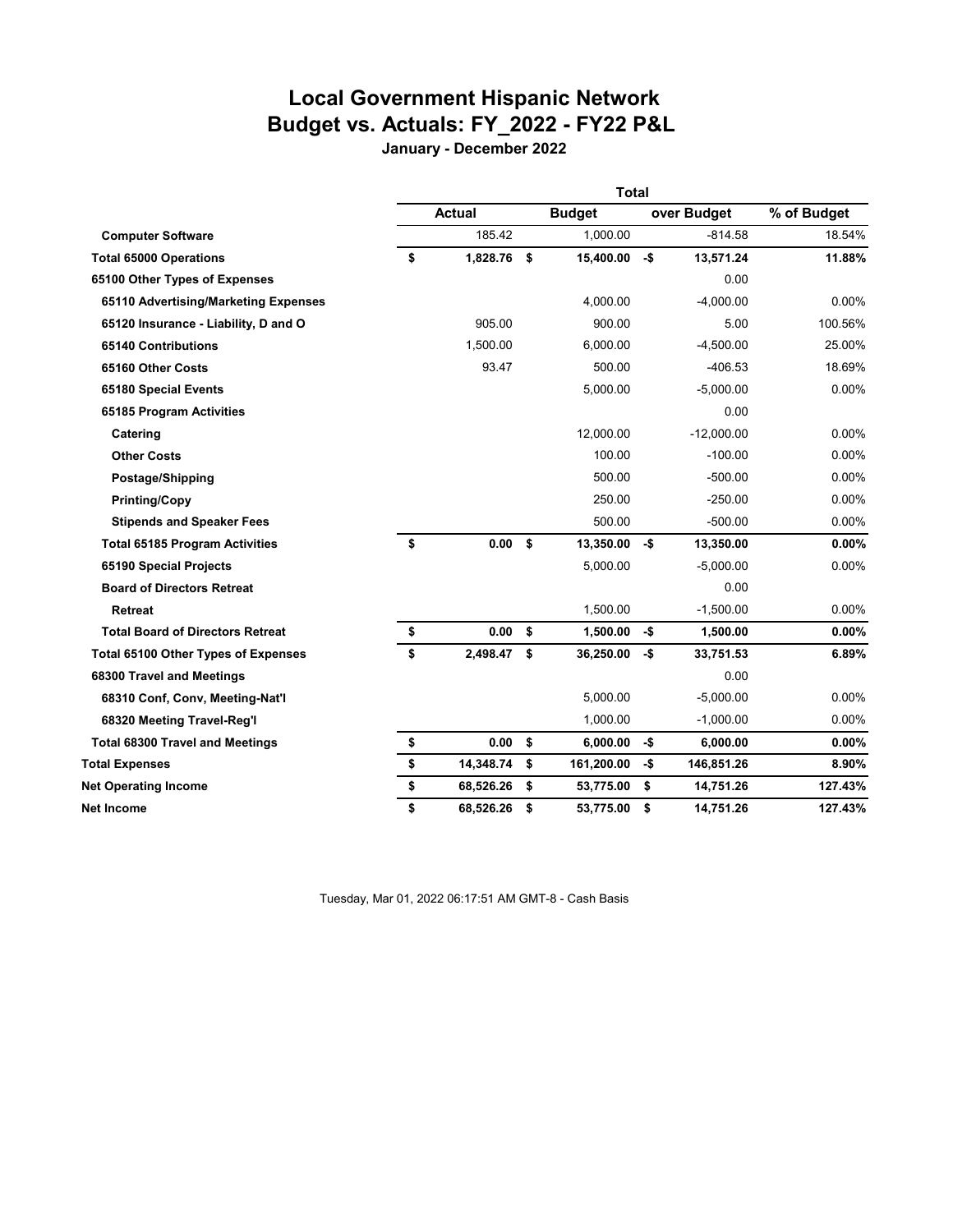## **Local Government Hispanic Network Budget vs. Actuals: FY\_2022 - FY22 P&L**

**January - December 2022**

|                                            | <b>Total</b> |               |    |               |     |              |             |
|--------------------------------------------|--------------|---------------|----|---------------|-----|--------------|-------------|
|                                            |              | <b>Actual</b> |    | <b>Budget</b> |     | over Budget  | % of Budget |
| <b>Computer Software</b>                   |              | 185.42        |    | 1,000.00      |     | $-814.58$    | 18.54%      |
| <b>Total 65000 Operations</b>              | \$           | 1,828.76      | \$ | 15,400.00     | -\$ | 13,571.24    | 11.88%      |
| 65100 Other Types of Expenses              |              |               |    |               |     | 0.00         |             |
| 65110 Advertising/Marketing Expenses       |              |               |    | 4,000.00      |     | $-4,000.00$  | 0.00%       |
| 65120 Insurance - Liability, D and O       |              | 905.00        |    | 900.00        |     | 5.00         | 100.56%     |
| 65140 Contributions                        |              | 1.500.00      |    | 6.000.00      |     | $-4.500.00$  | 25.00%      |
| 65160 Other Costs                          |              | 93.47         |    | 500.00        |     | $-406.53$    | 18.69%      |
| 65180 Special Events                       |              |               |    | 5,000.00      |     | $-5,000.00$  | 0.00%       |
| 65185 Program Activities                   |              |               |    |               |     | 0.00         |             |
| Catering                                   |              |               |    | 12,000.00     |     | $-12,000.00$ | 0.00%       |
| <b>Other Costs</b>                         |              |               |    | 100.00        |     | $-100.00$    | 0.00%       |
| Postage/Shipping                           |              |               |    | 500.00        |     | $-500.00$    | $0.00\%$    |
| <b>Printing/Copy</b>                       |              |               |    | 250.00        |     | $-250.00$    | 0.00%       |
| <b>Stipends and Speaker Fees</b>           |              |               |    | 500.00        |     | $-500.00$    | 0.00%       |
| <b>Total 65185 Program Activities</b>      | \$           | 0.00 S        |    | 13,350.00     | -\$ | 13,350.00    | 0.00%       |
| 65190 Special Projects                     |              |               |    | 5,000.00      |     | $-5,000.00$  | 0.00%       |
| <b>Board of Directors Retreat</b>          |              |               |    |               |     | 0.00         |             |
| Retreat                                    |              |               |    | 1,500.00      |     | $-1,500.00$  | $0.00\%$    |
| <b>Total Board of Directors Retreat</b>    | \$           | 0.00          | \$ | 1,500.00      | -\$ | 1,500.00     | 0.00%       |
| <b>Total 65100 Other Types of Expenses</b> | \$           | 2,498.47      | \$ | 36,250.00     | -\$ | 33,751.53    | 6.89%       |
| 68300 Travel and Meetings                  |              |               |    |               |     | 0.00         |             |
| 68310 Conf, Conv, Meeting-Nat'l            |              |               |    | 5,000.00      |     | $-5,000.00$  | 0.00%       |
| 68320 Meeting Travel-Reg'l                 |              |               |    | 1,000.00      |     | $-1,000.00$  | 0.00%       |
| <b>Total 68300 Travel and Meetings</b>     | \$           | 0.00          | \$ | 6,000.00      | -\$ | 6,000.00     | 0.00%       |
| <b>Total Expenses</b>                      | \$           | 14,348.74     | \$ | 161,200.00    | -\$ | 146,851.26   | 8.90%       |
| <b>Net Operating Income</b>                | \$           | 68,526.26     | \$ | 53,775.00     | \$  | 14,751.26    | 127.43%     |
| Net Income                                 | \$           | 68,526.26     | \$ | 53,775.00     | \$  | 14,751.26    | 127.43%     |

Tuesday, Mar 01, 2022 06:17:51 AM GMT-8 - Cash Basis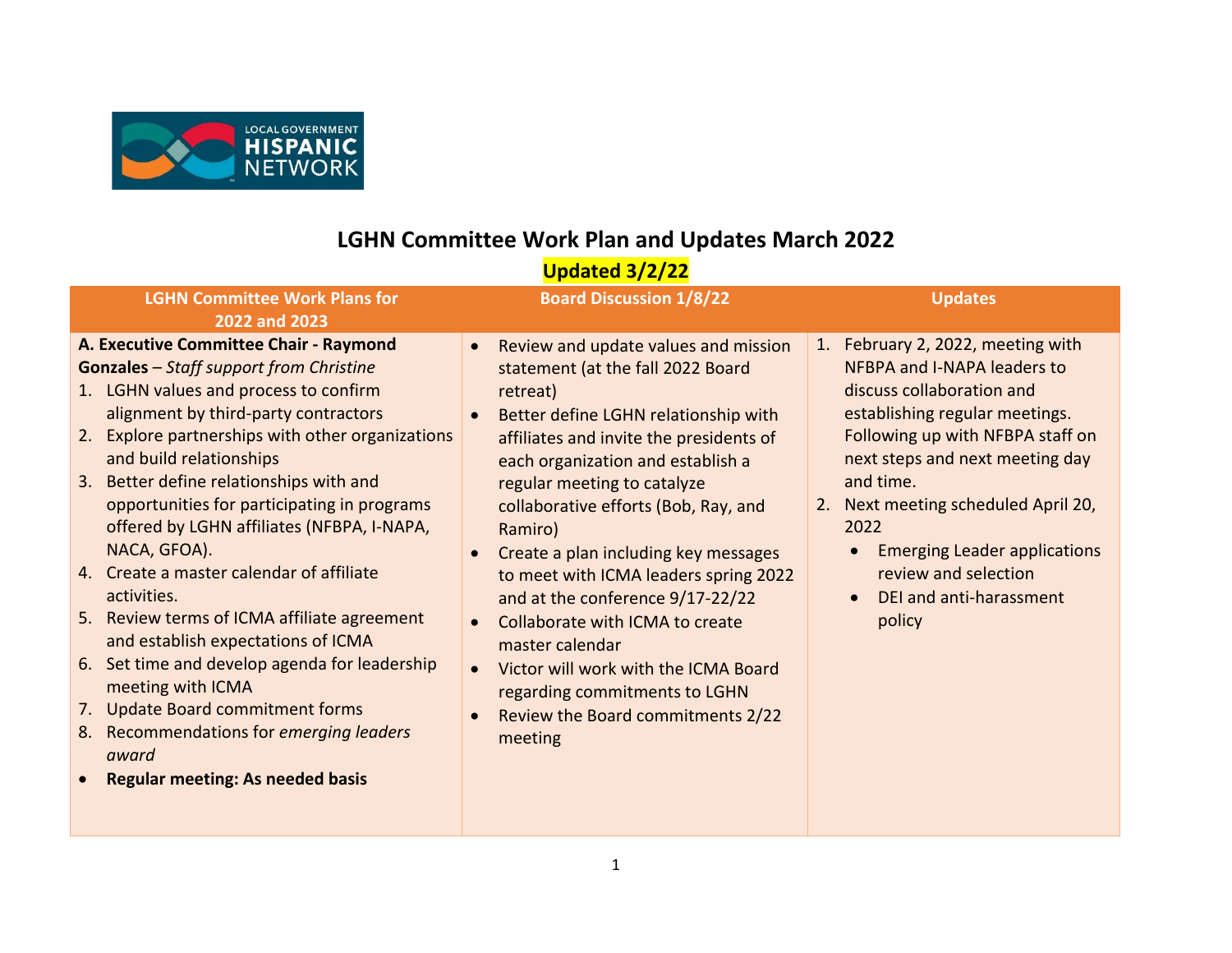

## **LGHN Committee Work Plan and Updates March 2022**

## **Updated 3/2/22**

| <b>LGHN Committee Work Plans for</b>                                                                                                                                                                                                                                                                                                                                                                                                                                                                                                                                                                                                                                                                                                                                                   | <b>Board Discussion 1/8/22</b>                                                                                                                                                                                                                                                                                                                                                                                                                                                                                                                                                                                   | <b>Updates</b>                                                                                                                                                                                                                                                                                                                                                                      |
|----------------------------------------------------------------------------------------------------------------------------------------------------------------------------------------------------------------------------------------------------------------------------------------------------------------------------------------------------------------------------------------------------------------------------------------------------------------------------------------------------------------------------------------------------------------------------------------------------------------------------------------------------------------------------------------------------------------------------------------------------------------------------------------|------------------------------------------------------------------------------------------------------------------------------------------------------------------------------------------------------------------------------------------------------------------------------------------------------------------------------------------------------------------------------------------------------------------------------------------------------------------------------------------------------------------------------------------------------------------------------------------------------------------|-------------------------------------------------------------------------------------------------------------------------------------------------------------------------------------------------------------------------------------------------------------------------------------------------------------------------------------------------------------------------------------|
| 2022 and 2023                                                                                                                                                                                                                                                                                                                                                                                                                                                                                                                                                                                                                                                                                                                                                                          |                                                                                                                                                                                                                                                                                                                                                                                                                                                                                                                                                                                                                  |                                                                                                                                                                                                                                                                                                                                                                                     |
| A. Executive Committee Chair - Raymond<br><b>Gonzales</b> – Staff support from Christine<br>1. LGHN values and process to confirm<br>alignment by third-party contractors<br>Explore partnerships with other organizations<br>2.<br>and build relationships<br>3. Better define relationships with and<br>opportunities for participating in programs<br>offered by LGHN affiliates (NFBPA, I-NAPA,<br>NACA, GFOA).<br>4. Create a master calendar of affiliate<br>activities.<br>5. Review terms of ICMA affiliate agreement<br>and establish expectations of ICMA<br>6. Set time and develop agenda for leadership<br>meeting with ICMA<br><b>Update Board commitment forms</b><br>7.<br>8. Recommendations for emerging leaders<br>award<br><b>Regular meeting: As needed basis</b> | Review and update values and mission<br>statement (at the fall 2022 Board<br>retreat)<br>Better define LGHN relationship with<br>affiliates and invite the presidents of<br>each organization and establish a<br>regular meeting to catalyze<br>collaborative efforts (Bob, Ray, and<br>Ramiro)<br>Create a plan including key messages<br>to meet with ICMA leaders spring 2022<br>and at the conference 9/17-22/22<br>Collaborate with ICMA to create<br>master calendar<br>Victor will work with the ICMA Board<br>$\bullet$<br>regarding commitments to LGHN<br>Review the Board commitments 2/22<br>meeting | 1. February 2, 2022, meeting with<br>NFBPA and I-NAPA leaders to<br>discuss collaboration and<br>establishing regular meetings.<br>Following up with NFBPA staff on<br>next steps and next meeting day<br>and time.<br>2. Next meeting scheduled April 20,<br>2022<br><b>Emerging Leader applications</b><br>review and selection<br>DEI and anti-harassment<br>$\bullet$<br>policy |
|                                                                                                                                                                                                                                                                                                                                                                                                                                                                                                                                                                                                                                                                                                                                                                                        |                                                                                                                                                                                                                                                                                                                                                                                                                                                                                                                                                                                                                  |                                                                                                                                                                                                                                                                                                                                                                                     |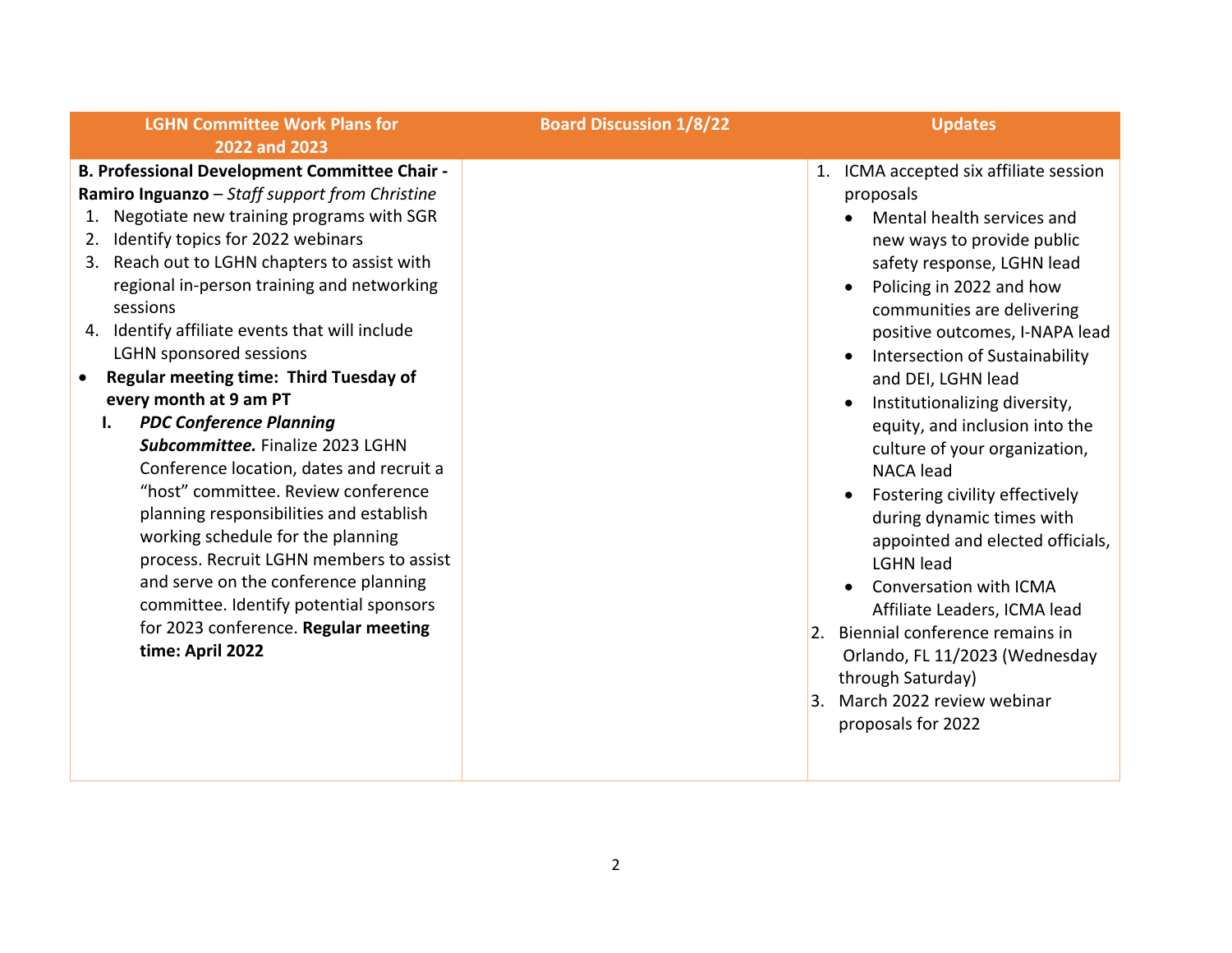| <b>LGHN Committee Work Plans for</b><br>2022 and 2023                                                                                                                                                                                                                                                                                                                                                                                                                                                                                                                                                                                                                                                                                                                                                                                                                                                                         | <b>Board Discussion 1/8/22</b> | <b>Updates</b>                                                                                                                                                                                                                                                                                                                                                                                                                                                                                                                                                                                                                                                                                                                                                         |
|-------------------------------------------------------------------------------------------------------------------------------------------------------------------------------------------------------------------------------------------------------------------------------------------------------------------------------------------------------------------------------------------------------------------------------------------------------------------------------------------------------------------------------------------------------------------------------------------------------------------------------------------------------------------------------------------------------------------------------------------------------------------------------------------------------------------------------------------------------------------------------------------------------------------------------|--------------------------------|------------------------------------------------------------------------------------------------------------------------------------------------------------------------------------------------------------------------------------------------------------------------------------------------------------------------------------------------------------------------------------------------------------------------------------------------------------------------------------------------------------------------------------------------------------------------------------------------------------------------------------------------------------------------------------------------------------------------------------------------------------------------|
| <b>B. Professional Development Committee Chair -</b><br>Ramiro Inguanzo - Staff support from Christine<br>Negotiate new training programs with SGR<br>Identify topics for 2022 webinars<br>2.<br>Reach out to LGHN chapters to assist with<br>3.<br>regional in-person training and networking<br>sessions<br>4. Identify affiliate events that will include<br><b>LGHN sponsored sessions</b><br><b>Regular meeting time: Third Tuesday of</b><br>every month at 9 am PT<br><b>PDC Conference Planning</b><br>$\mathbf{I}$ .<br>Subcommittee. Finalize 2023 LGHN<br>Conference location, dates and recruit a<br>"host" committee. Review conference<br>planning responsibilities and establish<br>working schedule for the planning<br>process. Recruit LGHN members to assist<br>and serve on the conference planning<br>committee. Identify potential sponsors<br>for 2023 conference. Regular meeting<br>time: April 2022 |                                | 1. ICMA accepted six affiliate session<br>proposals<br>Mental health services and<br>new ways to provide public<br>safety response, LGHN lead<br>Policing in 2022 and how<br>communities are delivering<br>positive outcomes, I-NAPA lead<br>Intersection of Sustainability<br>and DEI, LGHN lead<br>Institutionalizing diversity,<br>equity, and inclusion into the<br>culture of your organization,<br><b>NACA</b> lead<br>Fostering civility effectively<br>during dynamic times with<br>appointed and elected officials,<br><b>LGHN</b> lead<br><b>Conversation with ICMA</b><br>Affiliate Leaders, ICMA lead<br>2. Biennial conference remains in<br>Orlando, FL 11/2023 (Wednesday<br>through Saturday)<br>March 2022 review webinar<br>3.<br>proposals for 2022 |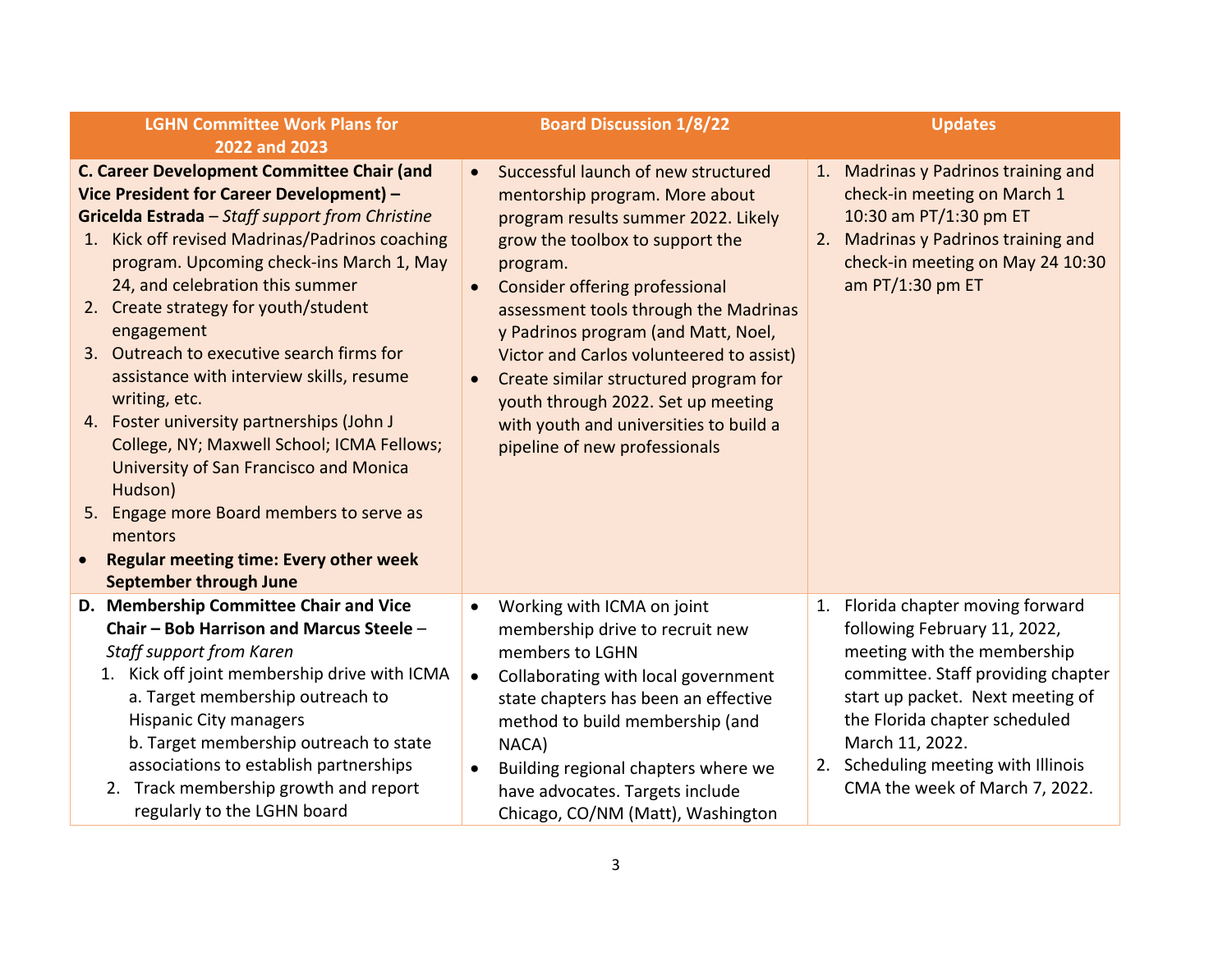| <b>LGHN Committee Work Plans for</b>                                                                                                                                                                                                                                                                                                                                                                                                                                                                                                                                                                                                                                                                                                       | <b>Board Discussion 1/8/22</b>                                                                                                                                                                                                                                                                                                                                                                                                                                                                                       | <b>Updates</b>                                                                                                                                                                                      |
|--------------------------------------------------------------------------------------------------------------------------------------------------------------------------------------------------------------------------------------------------------------------------------------------------------------------------------------------------------------------------------------------------------------------------------------------------------------------------------------------------------------------------------------------------------------------------------------------------------------------------------------------------------------------------------------------------------------------------------------------|----------------------------------------------------------------------------------------------------------------------------------------------------------------------------------------------------------------------------------------------------------------------------------------------------------------------------------------------------------------------------------------------------------------------------------------------------------------------------------------------------------------------|-----------------------------------------------------------------------------------------------------------------------------------------------------------------------------------------------------|
| 2022 and 2023                                                                                                                                                                                                                                                                                                                                                                                                                                                                                                                                                                                                                                                                                                                              |                                                                                                                                                                                                                                                                                                                                                                                                                                                                                                                      |                                                                                                                                                                                                     |
| <b>C. Career Development Committee Chair (and</b><br>Vice President for Career Development) -<br>Gricelda Estrada - Staff support from Christine<br>1. Kick off revised Madrinas/Padrinos coaching<br>program. Upcoming check-ins March 1, May<br>24, and celebration this summer<br>2. Create strategy for youth/student<br>engagement<br>3. Outreach to executive search firms for<br>assistance with interview skills, resume<br>writing, etc.<br>4. Foster university partnerships (John J<br>College, NY; Maxwell School; ICMA Fellows;<br>University of San Francisco and Monica<br>Hudson)<br>5. Engage more Board members to serve as<br>mentors<br><b>Regular meeting time: Every other week</b><br><b>September through June</b> | Successful launch of new structured<br>$\bullet$<br>mentorship program. More about<br>program results summer 2022. Likely<br>grow the toolbox to support the<br>program.<br><b>Consider offering professional</b><br>$\bullet$<br>assessment tools through the Madrinas<br>y Padrinos program (and Matt, Noel,<br>Victor and Carlos volunteered to assist)<br>Create similar structured program for<br>youth through 2022. Set up meeting<br>with youth and universities to build a<br>pipeline of new professionals | 1. Madrinas y Padrinos training and<br>check-in meeting on March 1<br>10:30 am PT/1:30 pm ET<br>2. Madrinas y Padrinos training and<br>check-in meeting on May 24 10:30<br>am PT/1:30 pm ET         |
| D. Membership Committee Chair and Vice                                                                                                                                                                                                                                                                                                                                                                                                                                                                                                                                                                                                                                                                                                     | Working with ICMA on joint<br>$\bullet$                                                                                                                                                                                                                                                                                                                                                                                                                                                                              | 1. Florida chapter moving forward                                                                                                                                                                   |
| Chair - Bob Harrison and Marcus Steele -<br><b>Staff support from Karen</b>                                                                                                                                                                                                                                                                                                                                                                                                                                                                                                                                                                                                                                                                | membership drive to recruit new<br>members to LGHN                                                                                                                                                                                                                                                                                                                                                                                                                                                                   | following February 11, 2022,<br>meeting with the membership                                                                                                                                         |
| 1. Kick off joint membership drive with ICMA<br>a. Target membership outreach to<br><b>Hispanic City managers</b><br>b. Target membership outreach to state<br>associations to establish partnerships<br>2. Track membership growth and report                                                                                                                                                                                                                                                                                                                                                                                                                                                                                             | Collaborating with local government<br>$\bullet$<br>state chapters has been an effective<br>method to build membership (and<br>NACA)<br>Building regional chapters where we<br>$\bullet$<br>have advocates. Targets include                                                                                                                                                                                                                                                                                          | committee. Staff providing chapter<br>start up packet. Next meeting of<br>the Florida chapter scheduled<br>March 11, 2022.<br>2. Scheduling meeting with Illinois<br>CMA the week of March 7, 2022. |
| regularly to the LGHN board                                                                                                                                                                                                                                                                                                                                                                                                                                                                                                                                                                                                                                                                                                                | Chicago, CO/NM (Matt), Washington                                                                                                                                                                                                                                                                                                                                                                                                                                                                                    |                                                                                                                                                                                                     |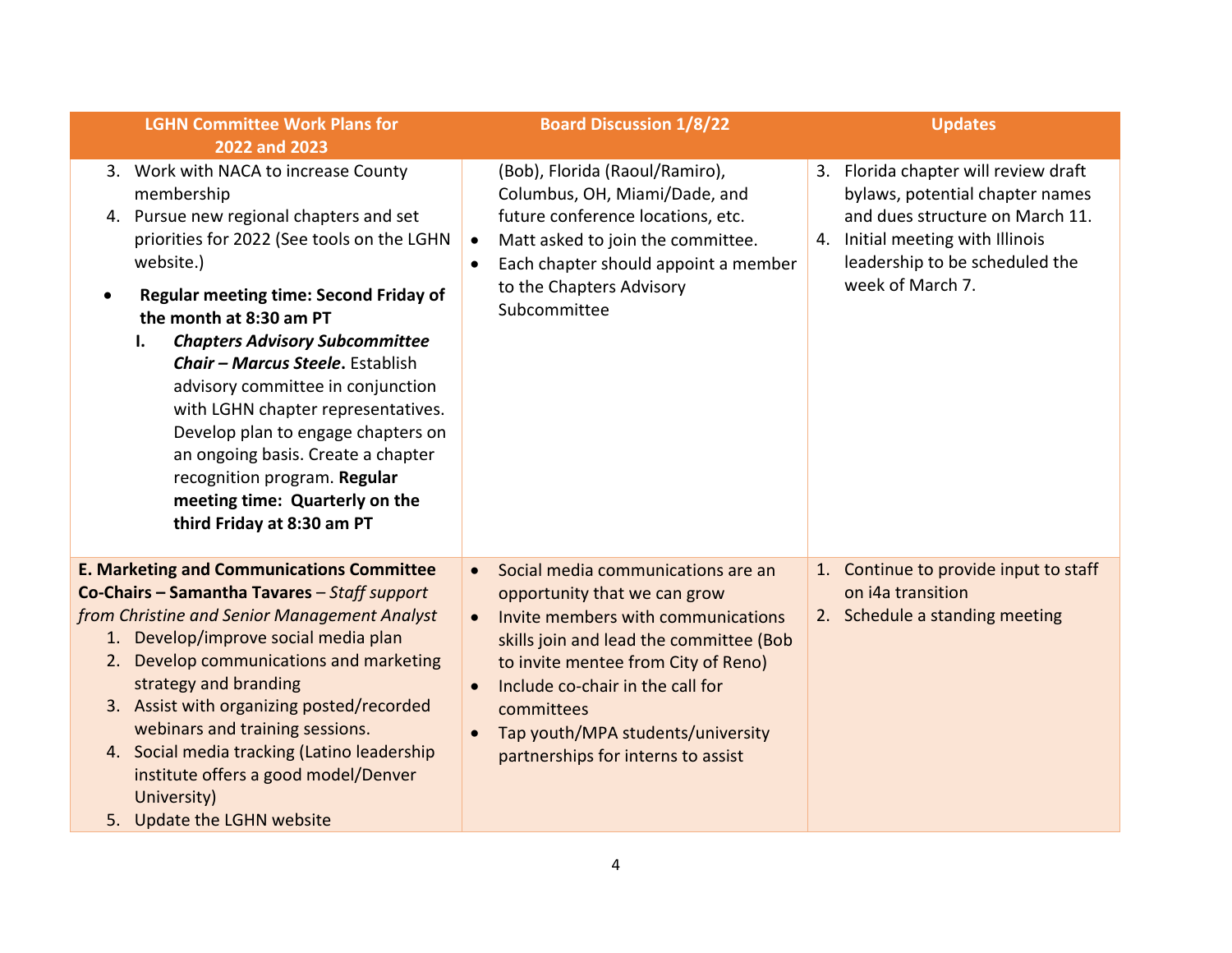| <b>LGHN Committee Work Plans for</b>                                                                                                                                                                                                                                                                                                                                                                                                                                                                                                                                                                         | <b>Board Discussion 1/8/22</b>                                                                                                                                                                                                                                                                                                                                              | <b>Updates</b>                                                                                                                                                                                       |
|--------------------------------------------------------------------------------------------------------------------------------------------------------------------------------------------------------------------------------------------------------------------------------------------------------------------------------------------------------------------------------------------------------------------------------------------------------------------------------------------------------------------------------------------------------------------------------------------------------------|-----------------------------------------------------------------------------------------------------------------------------------------------------------------------------------------------------------------------------------------------------------------------------------------------------------------------------------------------------------------------------|------------------------------------------------------------------------------------------------------------------------------------------------------------------------------------------------------|
| 2022 and 2023<br>3. Work with NACA to increase County<br>membership<br>4. Pursue new regional chapters and set<br>priorities for 2022 (See tools on the LGHN<br>website.)<br><b>Regular meeting time: Second Friday of</b><br>$\bullet$<br>the month at 8:30 am PT<br><b>Chapters Advisory Subcommittee</b><br>I.<br>Chair - Marcus Steele, Establish<br>advisory committee in conjunction<br>with LGHN chapter representatives.<br>Develop plan to engage chapters on<br>an ongoing basis. Create a chapter<br>recognition program. Regular<br>meeting time: Quarterly on the<br>third Friday at 8:30 am PT | (Bob), Florida (Raoul/Ramiro),<br>Columbus, OH, Miami/Dade, and<br>future conference locations, etc.<br>Matt asked to join the committee.<br>$\bullet$<br>Each chapter should appoint a member<br>$\bullet$<br>to the Chapters Advisory<br>Subcommittee                                                                                                                     | 3. Florida chapter will review draft<br>bylaws, potential chapter names<br>and dues structure on March 11.<br>4. Initial meeting with Illinois<br>leadership to be scheduled the<br>week of March 7. |
| <b>E. Marketing and Communications Committee</b><br>Co-Chairs - Samantha Tavares - Staff support<br>from Christine and Senior Management Analyst<br>1. Develop/improve social media plan<br>2. Develop communications and marketing<br>strategy and branding<br>3. Assist with organizing posted/recorded<br>webinars and training sessions.<br>4. Social media tracking (Latino leadership<br>institute offers a good model/Denver<br>University)<br>5. Update the LGHN website                                                                                                                             | Social media communications are an<br>$\bullet$<br>opportunity that we can grow<br>Invite members with communications<br>$\bullet$<br>skills join and lead the committee (Bob<br>to invite mentee from City of Reno)<br>Include co-chair in the call for<br>$\bullet$<br>committees<br>Tap youth/MPA students/university<br>$\bullet$<br>partnerships for interns to assist | 1. Continue to provide input to staff<br>on i4a transition<br>2. Schedule a standing meeting                                                                                                         |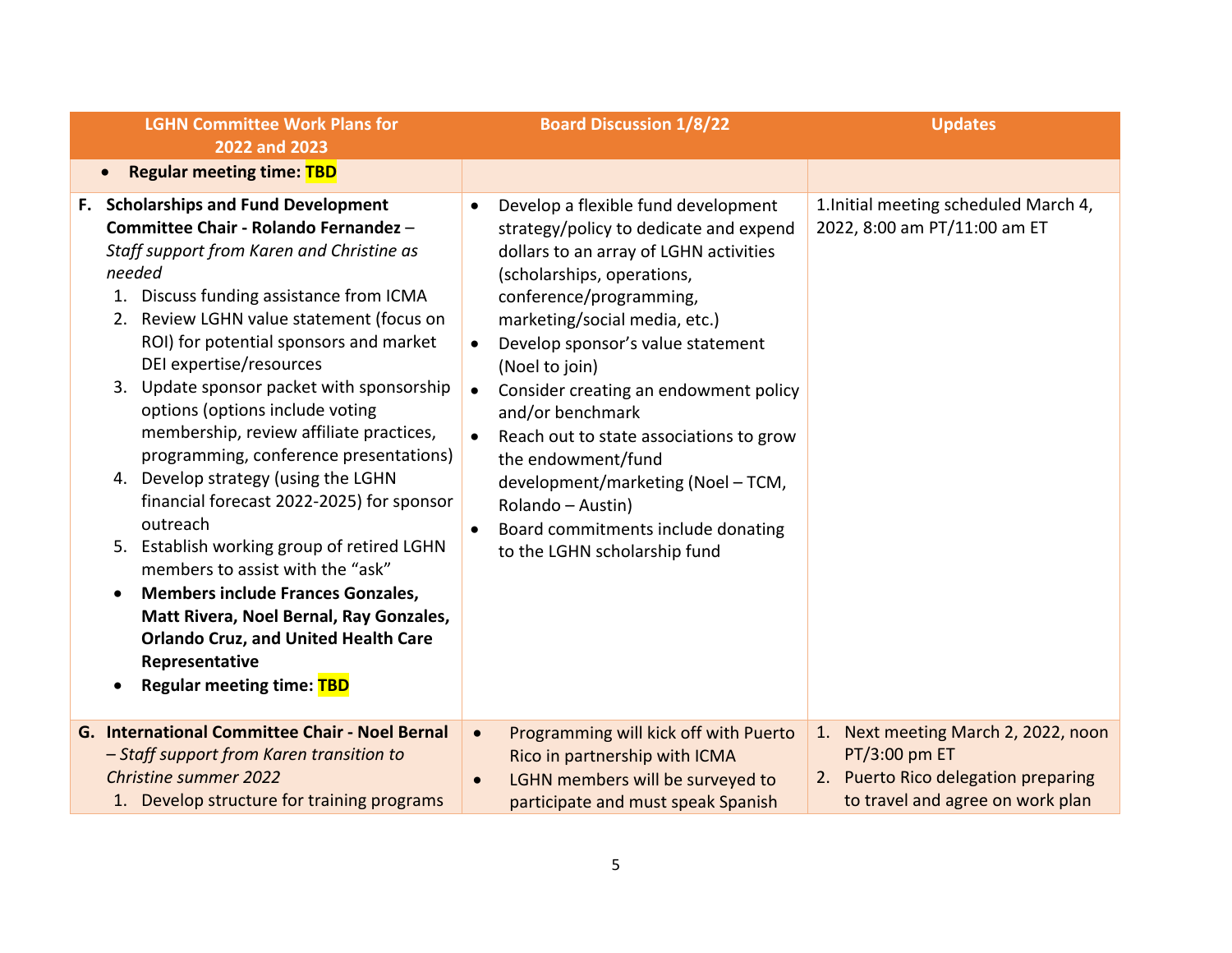| <b>LGHN Committee Work Plans for</b><br>2022 and 2023                                                                                                                                                                                                                                                                                                                                                                                                                                                                                                                                                                                                                                                                                                                                                                                                            | <b>Board Discussion 1/8/22</b>                                                                                                                                                                                                                                                                                                                                                                                                                                                                                                                                                                           | <b>Updates</b>                                                                                                                     |
|------------------------------------------------------------------------------------------------------------------------------------------------------------------------------------------------------------------------------------------------------------------------------------------------------------------------------------------------------------------------------------------------------------------------------------------------------------------------------------------------------------------------------------------------------------------------------------------------------------------------------------------------------------------------------------------------------------------------------------------------------------------------------------------------------------------------------------------------------------------|----------------------------------------------------------------------------------------------------------------------------------------------------------------------------------------------------------------------------------------------------------------------------------------------------------------------------------------------------------------------------------------------------------------------------------------------------------------------------------------------------------------------------------------------------------------------------------------------------------|------------------------------------------------------------------------------------------------------------------------------------|
| <b>Regular meeting time: TBD</b><br>$\bullet$                                                                                                                                                                                                                                                                                                                                                                                                                                                                                                                                                                                                                                                                                                                                                                                                                    |                                                                                                                                                                                                                                                                                                                                                                                                                                                                                                                                                                                                          |                                                                                                                                    |
| F. Scholarships and Fund Development<br>Committee Chair - Rolando Fernandez -<br>Staff support from Karen and Christine as<br>needed<br>1. Discuss funding assistance from ICMA<br>2. Review LGHN value statement (focus on<br>ROI) for potential sponsors and market<br>DEI expertise/resources<br>3. Update sponsor packet with sponsorship<br>options (options include voting<br>membership, review affiliate practices,<br>programming, conference presentations)<br>4. Develop strategy (using the LGHN<br>financial forecast 2022-2025) for sponsor<br>outreach<br>5. Establish working group of retired LGHN<br>members to assist with the "ask"<br><b>Members include Frances Gonzales,</b><br>$\bullet$<br>Matt Rivera, Noel Bernal, Ray Gonzales,<br><b>Orlando Cruz, and United Health Care</b><br>Representative<br><b>Regular meeting time: TBD</b> | Develop a flexible fund development<br>$\bullet$<br>strategy/policy to dedicate and expend<br>dollars to an array of LGHN activities<br>(scholarships, operations,<br>conference/programming,<br>marketing/social media, etc.)<br>Develop sponsor's value statement<br>$\bullet$<br>(Noel to join)<br>Consider creating an endowment policy<br>$\bullet$<br>and/or benchmark<br>Reach out to state associations to grow<br>$\bullet$<br>the endowment/fund<br>development/marketing (Noel - TCM,<br>Rolando - Austin)<br>Board commitments include donating<br>$\bullet$<br>to the LGHN scholarship fund | 1. Initial meeting scheduled March 4,<br>2022, 8:00 am PT/11:00 am ET                                                              |
| G. International Committee Chair - Noel Bernal<br>- Staff support from Karen transition to<br><b>Christine summer 2022</b><br>1. Develop structure for training programs                                                                                                                                                                                                                                                                                                                                                                                                                                                                                                                                                                                                                                                                                         | Programming will kick off with Puerto<br>$\bullet$<br>Rico in partnership with ICMA<br>LGHN members will be surveyed to<br>participate and must speak Spanish                                                                                                                                                                                                                                                                                                                                                                                                                                            | Next meeting March 2, 2022, noon<br>1.<br>PT/3:00 pm ET<br>2. Puerto Rico delegation preparing<br>to travel and agree on work plan |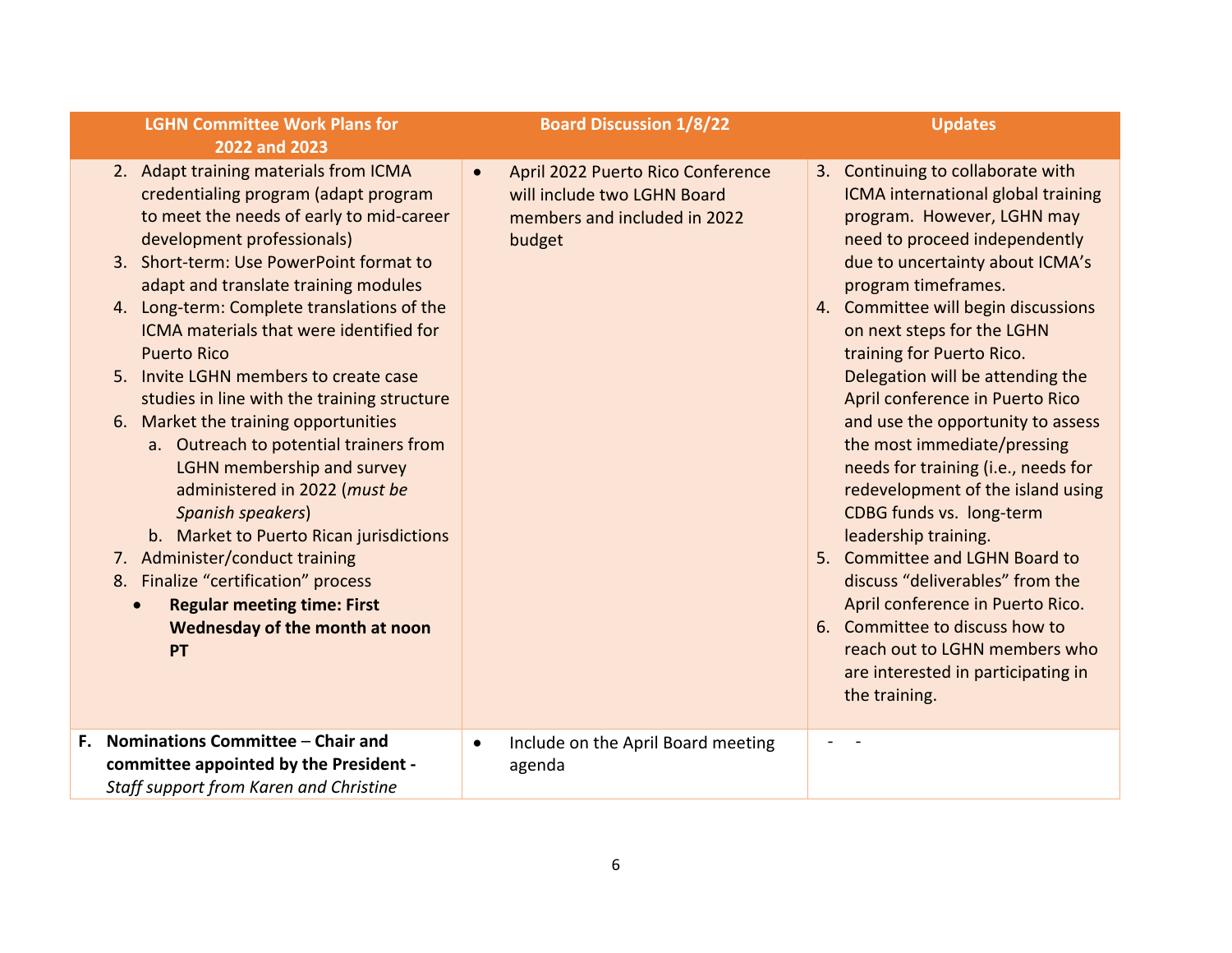| <b>LGHN Committee Work Plans for</b><br>2022 and 2023                                                                                                                                                                                                                                                                                                                                                                                                                                                                                                                                                                                                                                                                                                                                                                                  | <b>Board Discussion 1/8/22</b>                                                                                          | <b>Updates</b>                                                                                                                                                                                                                                                                                                                                                                                                                                                                                                                                                                                                                                                                                                                                                                                                   |
|----------------------------------------------------------------------------------------------------------------------------------------------------------------------------------------------------------------------------------------------------------------------------------------------------------------------------------------------------------------------------------------------------------------------------------------------------------------------------------------------------------------------------------------------------------------------------------------------------------------------------------------------------------------------------------------------------------------------------------------------------------------------------------------------------------------------------------------|-------------------------------------------------------------------------------------------------------------------------|------------------------------------------------------------------------------------------------------------------------------------------------------------------------------------------------------------------------------------------------------------------------------------------------------------------------------------------------------------------------------------------------------------------------------------------------------------------------------------------------------------------------------------------------------------------------------------------------------------------------------------------------------------------------------------------------------------------------------------------------------------------------------------------------------------------|
| 2. Adapt training materials from ICMA<br>credentialing program (adapt program<br>to meet the needs of early to mid-career<br>development professionals)<br>3. Short-term: Use PowerPoint format to<br>adapt and translate training modules<br>4. Long-term: Complete translations of the<br>ICMA materials that were identified for<br><b>Puerto Rico</b><br>5. Invite LGHN members to create case<br>studies in line with the training structure<br>6. Market the training opportunities<br>a. Outreach to potential trainers from<br>LGHN membership and survey<br>administered in 2022 (must be<br>Spanish speakers)<br>b. Market to Puerto Rican jurisdictions<br>7. Administer/conduct training<br>8. Finalize "certification" process<br><b>Regular meeting time: First</b><br>$\bullet$<br>Wednesday of the month at noon<br>PT | April 2022 Puerto Rico Conference<br>$\bullet$<br>will include two LGHN Board<br>members and included in 2022<br>budget | 3. Continuing to collaborate with<br>ICMA international global training<br>program. However, LGHN may<br>need to proceed independently<br>due to uncertainty about ICMA's<br>program timeframes.<br>4. Committee will begin discussions<br>on next steps for the LGHN<br>training for Puerto Rico.<br>Delegation will be attending the<br>April conference in Puerto Rico<br>and use the opportunity to assess<br>the most immediate/pressing<br>needs for training (i.e., needs for<br>redevelopment of the island using<br>CDBG funds vs. long-term<br>leadership training.<br>5. Committee and LGHN Board to<br>discuss "deliverables" from the<br>April conference in Puerto Rico.<br>6. Committee to discuss how to<br>reach out to LGHN members who<br>are interested in participating in<br>the training. |
| Nominations Committee - Chair and<br>F.<br>committee appointed by the President -<br>Staff support from Karen and Christine                                                                                                                                                                                                                                                                                                                                                                                                                                                                                                                                                                                                                                                                                                            | Include on the April Board meeting<br>$\bullet$<br>agenda                                                               |                                                                                                                                                                                                                                                                                                                                                                                                                                                                                                                                                                                                                                                                                                                                                                                                                  |